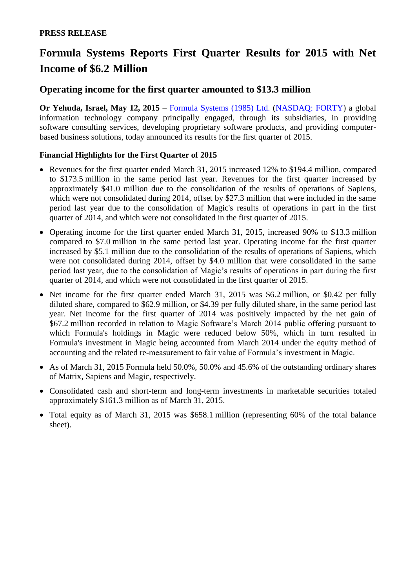# **Formula Systems Reports First Quarter Results for 2015 with Net Income of \$6.2 Million**

## **Operating income for the first quarter amounted to \$13.3 million**

**Or Yehuda, Israel, May 12, 2015** – [Formula Systems \(1985\) Ltd.](http://www.formulasystems.com/) [\(NASDAQ: FORTY\)](http://www.nasdaq.com/symbol/forty) a global information technology company principally engaged, through its subsidiaries, in providing software consulting services, developing proprietary software products, and providing computerbased business solutions, today announced its results for the first quarter of 2015.

## **Financial Highlights for the First Quarter of 2015**

- Revenues for the first quarter ended March 31, 2015 increased 12% to \$194.4 million, compared to \$173.5 million in the same period last year. Revenues for the first quarter increased by approximately \$41.0 million due to the consolidation of the results of operations of Sapiens, which were not consolidated during 2014, offset by \$27.3 million that were included in the same period last year due to the consolidation of Magic's results of operations in part in the first quarter of 2014, and which were not consolidated in the first quarter of 2015.
- Operating income for the first quarter ended March 31, 2015, increased 90% to \$13.3 million compared to \$7.0 million in the same period last year. Operating income for the first quarter increased by \$5.1 million due to the consolidation of the results of operations of Sapiens, which were not consolidated during 2014, offset by \$4.0 million that were consolidated in the same period last year, due to the consolidation of Magic's results of operations in part during the first quarter of 2014, and which were not consolidated in the first quarter of 2015.
- Net income for the first quarter ended March 31, 2015 was \$6.2 million, or \$0.42 per fully diluted share, compared to \$62.9 million, or \$4.39 per fully diluted share, in the same period last year. Net income for the first quarter of 2014 was positively impacted by the net gain of \$67.2 million recorded in relation to Magic Software's March 2014 public offering pursuant to which Formula's holdings in Magic were reduced below 50%, which in turn resulted in Formula's investment in Magic being accounted from March 2014 under the equity method of accounting and the related re-measurement to fair value of Formula's investment in Magic.
- As of March 31, 2015 Formula held 50.0%, 50.0% and 45.6% of the outstanding ordinary shares of Matrix, Sapiens and Magic, respectively.
- Consolidated cash and short-term and long-term investments in marketable securities totaled approximately \$161.3 million as of March 31, 2015.
- Total equity as of March 31, 2015 was \$658.1 million (representing 60% of the total balance sheet).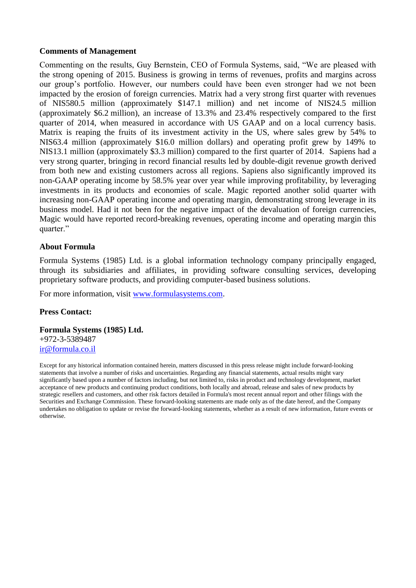#### **Comments of Management**

Commenting on the results, Guy Bernstein, CEO of Formula Systems, said, "We are pleased with the strong opening of 2015. Business is growing in terms of revenues, profits and margins across our group's portfolio. However, our numbers could have been even stronger had we not been impacted by the erosion of foreign currencies. Matrix had a very strong first quarter with revenues of NIS580.5 million (approximately \$147.1 million) and net income of NIS24.5 million (approximately \$6.2 million), an increase of 13.3% and 23.4% respectively compared to the first quarter of 2014, when measured in accordance with US GAAP and on a local currency basis. Matrix is reaping the fruits of its investment activity in the US, where sales grew by 54% to NIS63.4 million (approximately \$16.0 million dollars) and operating profit grew by 149% to NIS13.1 million (approximately \$3.3 million) compared to the first quarter of 2014. Sapiens had a very strong quarter, bringing in record financial results led by double-digit revenue growth derived from both new and existing customers across all regions. Sapiens also significantly improved its non-GAAP operating income by 58.5% year over year while improving profitability, by leveraging investments in its products and economies of scale. Magic reported another solid quarter with increasing non-GAAP operating income and operating margin, demonstrating strong leverage in its business model. Had it not been for the negative impact of the devaluation of foreign currencies, Magic would have reported record-breaking revenues, operating income and operating margin this quarter."

#### **About Formula**

Formula Systems (1985) Ltd. is a global information technology company principally engaged, through its subsidiaries and affiliates, in providing software consulting services, developing proprietary software products, and providing computer-based business solutions.

For more information, visit [www.formulasystems.com.](http://www.formulasystems.com/)

#### **Press Contact:**

#### **Formula Systems (1985) Ltd.**

+972-3-5389487 [ir@formula.co.il](mailto:ir@formula.co.il)

Except for any historical information contained herein, matters discussed in this press release might include forward-looking statements that involve a number of risks and uncertainties. Regarding any financial statements, actual results might vary significantly based upon a number of factors including, but not limited to, risks in product and technology development, market acceptance of new products and continuing product conditions, both locally and abroad, release and sales of new products by strategic resellers and customers, and other risk factors detailed in Formula's most recent annual report and other filings with the Securities and Exchange Commission. These forward-looking statements are made only as of the date hereof, and the Company undertakes no obligation to update or revise the forward-looking statements, whether as a result of new information, future events or otherwise.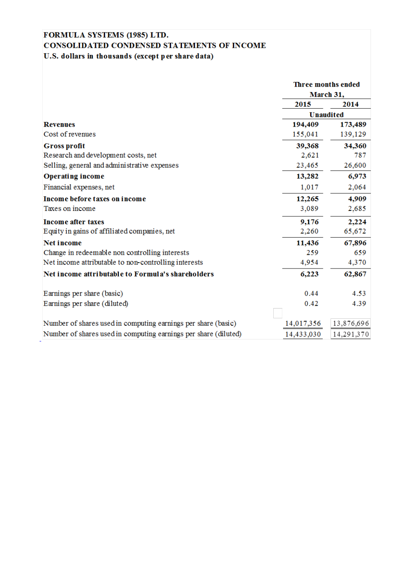## FORMULA SYSTEMS (1985) LTD. CONSOLIDATED CONDENSED STATEMENTS OF INCOME U.S. dollars in thousands (except per share data)

|                                                                 | Three months ended<br>March 31, |            |
|-----------------------------------------------------------------|---------------------------------|------------|
|                                                                 |                                 |            |
|                                                                 | 2015                            | 2014       |
|                                                                 | <b>Unaudited</b>                |            |
| <b>Revenues</b>                                                 | 194,409                         | 173,489    |
| Cost of revenues                                                | 155,041                         | 139,129    |
| <b>Gross profit</b>                                             | 39,368                          | 34,360     |
| Research and development costs, net                             | 2,621                           | 787        |
| Selling, general and administrative expenses                    | 23,465                          | 26,600     |
| <b>Operating income</b>                                         | 13,282                          | 6,973      |
| Financial expenses, net                                         | 1,017                           | 2,064      |
| Income before taxes on income                                   | 12,265                          | 4,909      |
| Taxes on income                                                 | 3,089                           | 2,685      |
| <b>Income after taxes</b>                                       | 9,176                           | 2,224      |
| Equity in gains of affiliated companies, net                    | 2,260                           | 65,672     |
| <b>Net income</b>                                               | 11,436                          | 67,896     |
| Change in redeemable non controlling interests                  | 259                             | 659        |
| Net income attributable to non-controlling interests            | 4,954                           | 4,370      |
| Net income attributable to Formula's shareholders               | 6,223                           | 62,867     |
| Earnings per share (basic)                                      | 0.44                            | 4.53       |
| Earnings per share (diluted)                                    | 0.42                            | 4.39       |
| Number of shares used in computing earnings per share (basic)   | 14,017,356                      | 13,876,696 |
| Number of shares used in computing earnings per share (diluted) | 14,433,030                      | 14,291,370 |